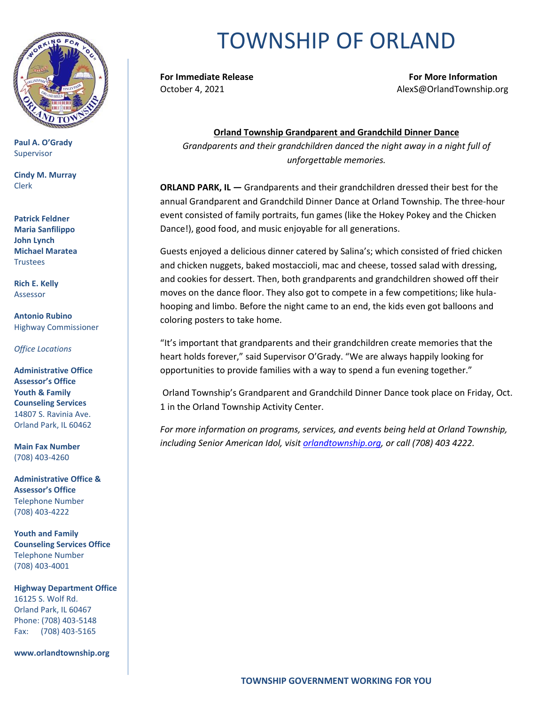

**Paul A. O'Grady** Supervisor

**Cindy M. Murray** Clerk

**Patrick Feldner Maria Sanfilippo John Lynch Michael Maratea Trustees** 

**Rich E. Kelly** Assessor

**Antonio Rubino** Highway Commissioner

*Office Locations*

**Administrative Office Assessor's Office Youth & Family Counseling Services** 14807 S. Ravinia Ave. Orland Park, IL 60462

**Main Fax Number**  (708) 403-4260

**Administrative Office & Assessor's Office**  Telephone Number (708) 403-4222

**Youth and Family Counseling Services Office**  Telephone Number (708) 403-4001

**Highway Department Office** 16125 S. Wolf Rd. Orland Park, IL 60467 Phone: (708) 403-5148 Fax: (708) 403-5165

**www.orlandtownship.org**

## TOWNSHIP OF ORLAND

**For Immediate Release For More Information** October 4, 2021 AlexS@OrlandTownship.org

**Orland Township Grandparent and Grandchild Dinner Dance** *Grandparents and their grandchildren danced the night away in a night full of unforgettable memories.*

**ORLAND PARK, IL —** Grandparents and their grandchildren dressed their best for the annual Grandparent and Grandchild Dinner Dance at Orland Township. The three-hour event consisted of family portraits, fun games (like the Hokey Pokey and the Chicken Dance!), good food, and music enjoyable for all generations.

Guests enjoyed a delicious dinner catered by Salina's; which consisted of fried chicken and chicken nuggets, baked mostaccioli, mac and cheese, tossed salad with dressing, and cookies for dessert. Then, both grandparents and grandchildren showed off their moves on the dance floor. They also got to compete in a few competitions; like hulahooping and limbo. Before the night came to an end, the kids even got balloons and coloring posters to take home.

"It's important that grandparents and their grandchildren create memories that the heart holds forever," said Supervisor O'Grady. "We are always happily looking for opportunities to provide families with a way to spend a fun evening together."

Orland Township's Grandparent and Grandchild Dinner Dance took place on Friday, Oct. 1 in the Orland Township Activity Center.

*For more information on programs, services, and events being held at Orland Township, including Senior American Idol, visi[t orlandtownship.org,](http://www.orlandtownship.org/) or call (708) 403 4222.*